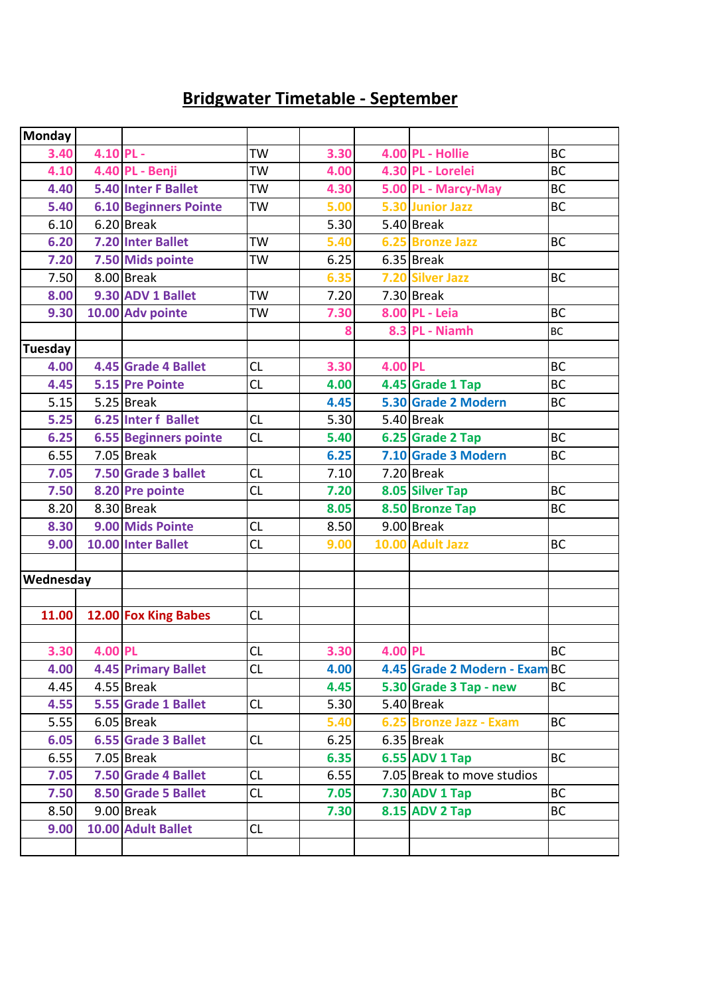## **Bridgwater Timetable - September**

| <b>Monday</b>  |             |                              |           |      |         |                               |           |
|----------------|-------------|------------------------------|-----------|------|---------|-------------------------------|-----------|
| 3.40           | $4.10$ PL - |                              | <b>TW</b> | 3.30 |         | 4.00 PL - Hollie              | <b>BC</b> |
| 4.10           |             | 4.40 PL - Benji              | <b>TW</b> | 4.00 |         | 4.30 PL - Lorelei             | <b>BC</b> |
| 4.40           |             | <b>5.40 Inter F Ballet</b>   | TW        | 4.30 |         | 5.00 PL - Marcy-May           | <b>BC</b> |
| 5.40           |             | <b>6.10 Beginners Pointe</b> | <b>TW</b> | 5.00 |         | 5.30 Junior Jazz              | <b>BC</b> |
| 6.10           |             | 6.20 Break                   |           | 5.30 |         | 5.40 Break                    |           |
| 6.20           |             | 7.20 Inter Ballet            | <b>TW</b> | 5.40 |         | 6.25 Bronze Jazz              | <b>BC</b> |
| 7.20           |             | 7.50 Mids pointe             | TW        | 6.25 |         | $6.35$ Break                  |           |
| 7.50           |             | 8.00 Break                   |           | 6.35 |         | 7.20 Silver Jazz              | <b>BC</b> |
| 8.00           |             | 9.30 ADV 1 Ballet            | TW        | 7.20 |         | 7.30 Break                    |           |
| 9.30           |             | 10.00 Adv pointe             | TW        | 7.30 |         | 8.00 PL - Leia                | <b>BC</b> |
|                |             |                              |           | 8    |         | 8.3 PL - Niamh                | <b>BC</b> |
| <b>Tuesday</b> |             |                              |           |      |         |                               |           |
| 4.00           |             | 4.45 Grade 4 Ballet          | <b>CL</b> | 3.30 | 4.00 PL |                               | <b>BC</b> |
| 4.45           |             | 5.15 Pre Pointe              | <b>CL</b> | 4.00 |         | 4.45 Grade 1 Tap              | <b>BC</b> |
| 5.15           |             | $5.25$ Break                 |           | 4.45 |         | 5.30 Grade 2 Modern           | <b>BC</b> |
| $5.25$         |             | <b>6.25 Inter f Ballet</b>   | CL        | 5.30 |         | 5.40 Break                    |           |
| 6.25           |             | <b>6.55 Beginners pointe</b> | CL        | 5.40 |         | 6.25 Grade 2 Tap              | <b>BC</b> |
| 6.55           |             | $7.05$ Break                 |           | 6.25 |         | 7.10 Grade 3 Modern           | <b>BC</b> |
| 7.05           |             | 7.50 Grade 3 ballet          | CL        | 7.10 |         | 7.20 Break                    |           |
| 7.50           |             | 8.20 Pre pointe              | CL        | 7.20 |         | 8.05 Silver Tap               | <b>BC</b> |
| 8.20           |             | 8.30 Break                   |           | 8.05 |         | 8.50 Bronze Tap               | <b>BC</b> |
| 8.30           |             | 9.00 Mids Pointe             | CL        | 8.50 |         | 9.00 Break                    |           |
| 9.00           |             | 10.00 Inter Ballet           | CL        | 9.00 |         | 10.00 Adult Jazz              | <b>BC</b> |
|                |             |                              |           |      |         |                               |           |
| Wednesday      |             |                              |           |      |         |                               |           |
|                |             |                              |           |      |         |                               |           |
| 11.00          |             | 12.00 Fox King Babes         | CL        |      |         |                               |           |
|                |             |                              |           |      |         |                               |           |
| 3.30           | 4.00 PL     |                              | CL        | 3.30 | 4.00 PL |                               | <b>BC</b> |
| 4.00           |             | <b>4.45 Primary Ballet</b>   | CL        | 4.00 |         | 4.45 Grade 2 Modern - Exam BC |           |
| 4.45           |             | 4.55 Break                   |           | 4.45 |         | 5.30 Grade 3 Tap - new        | <b>BC</b> |
| 4.55           |             | 5.55 Grade 1 Ballet          | <b>CL</b> | 5.30 |         | $5.40$ Break                  |           |
| 5.55           |             | $6.05$ Break                 |           | 5.40 |         | 6.25 Bronze Jazz - Exam       | <b>BC</b> |
| 6.05           |             | 6.55 Grade 3 Ballet          | CL        | 6.25 |         | $6.35$ Break                  |           |
| 6.55           |             | $7.05$ Break                 |           | 6.35 |         | <b>6.55 ADV 1 Tap</b>         | <b>BC</b> |
| 7.05           |             | 7.50 Grade 4 Ballet          | CL        | 6.55 |         | 7.05 Break to move studios    |           |
| 7.50           |             | 8.50 Grade 5 Ballet          | CL.       | 7.05 |         | 7.30 ADV 1 Tap                | <b>BC</b> |
| 8.50           |             | 9.00 Break                   |           | 7.30 |         | 8.15 ADV 2 Tap                | <b>BC</b> |
| 9.00           |             | 10.00 Adult Ballet           | CL.       |      |         |                               |           |
|                |             |                              |           |      |         |                               |           |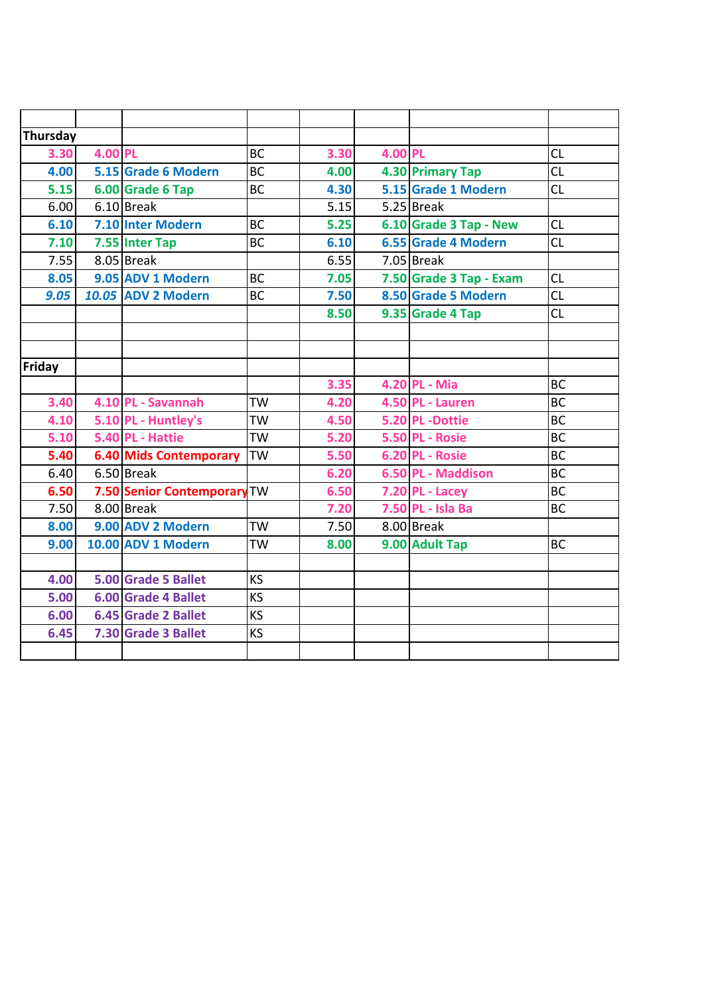| Thursday |         |                               |           |      |         |                         |           |
|----------|---------|-------------------------------|-----------|------|---------|-------------------------|-----------|
| 3.30     | 4.00 PL |                               | <b>BC</b> | 3.30 | 4.00 PL |                         | CL        |
| 4.00     |         | 5.15 Grade 6 Modern           | <b>BC</b> | 4.00 |         | 4.30 Primary Tap        | CL        |
| 5.15     |         | 6.00 Grade 6 Tap              | <b>BC</b> | 4.30 |         | 5.15 Grade 1 Modern     | <b>CL</b> |
| 6.00     |         | $6.10$ Break                  |           | 5.15 |         | $5.25$ Break            |           |
| 6.10     |         | 7.10 Inter Modern             | <b>BC</b> | 5.25 |         | 6.10 Grade 3 Tap - New  | CL        |
| 7.10     |         | 7.55 Inter Tap                | <b>BC</b> | 6.10 |         | 6.55 Grade 4 Modern     | CL        |
| 7.55     |         | 8.05 Break                    |           | 6.55 |         | 7.05 Break              |           |
| 8.05     |         | 9.05 ADV 1 Modern             | <b>BC</b> | 7.05 |         | 7.50 Grade 3 Tap - Exam | <b>CL</b> |
| 9.05     |         | 10.05 ADV 2 Modern            | <b>BC</b> | 7.50 |         | 8.50 Grade 5 Modern     | CL        |
|          |         |                               |           | 8.50 |         | 9.35 Grade 4 Tap        | CL        |
|          |         |                               |           |      |         |                         |           |
|          |         |                               |           |      |         |                         |           |
| Friday   |         |                               |           |      |         |                         |           |
|          |         |                               |           | 3.35 |         | 4.20 PL - Mia           | <b>BC</b> |
| $3.40$   |         | 4.10 PL - Savannah            | <b>TW</b> | 4.20 |         | 4.50 PL - Lauren        | <b>BC</b> |
| 4.10     |         | 5.10 PL - Huntley's           | <b>TW</b> | 4.50 |         | 5.20 PL-Dottie          | <b>BC</b> |
| 5.10     |         | 5.40 PL - Hattie              | <b>TW</b> | 5.20 |         | <b>5.50 PL - Rosie</b>  | <b>BC</b> |
| 5.40     |         | <b>6.40 Mids Contemporary</b> | <b>TW</b> | 5.50 |         | 6.20 PL - Rosie         | <b>BC</b> |
| 6.40     |         | 6.50 Break                    |           | 6.20 |         | 6.50 PL - Maddison      | <b>BC</b> |
| 6.50     |         | 7.50 Senior Contemporary TW   |           | 6.50 |         | 7.20 PL - Lacey         | <b>BC</b> |
| 7.50     |         | 8.00 Break                    |           | 7.20 |         | 7.50 PL - Isla Ba       | <b>BC</b> |
| 8.00     |         | 9.00 ADV 2 Modern             | <b>TW</b> | 7.50 |         | 8.00 Break              |           |
| 9.00     |         | 10.00 ADV 1 Modern            | <b>TW</b> | 8.00 |         | 9.00 Adult Tap          | <b>BC</b> |
|          |         |                               |           |      |         |                         |           |
| 4.00     |         | 5.00 Grade 5 Ballet           | <b>KS</b> |      |         |                         |           |
| 5.00     |         | <b>6.00 Grade 4 Ballet</b>    | <b>KS</b> |      |         |                         |           |
| 6.00     |         | <b>6.45 Grade 2 Ballet</b>    | <b>KS</b> |      |         |                         |           |
| 6.45     |         | 7.30 Grade 3 Ballet           | <b>KS</b> |      |         |                         |           |
|          |         |                               |           |      |         |                         |           |